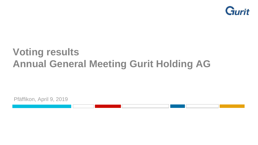

# **Voting results Annual General Meeting Gurit Holding AG**

Pfäffikon, April 9, 2019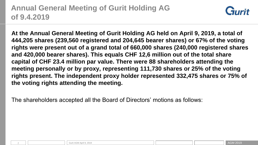## **Annual General Meeting of Gurit Holding AG of 9.4.2019**



**At the Annual General Meeting of Gurit Holding AG held on April 9, 2019, a total of 444,205 shares (239,560 registered and 204,645 bearer shares) or 67% of the voting rights were present out of a grand total of 660,000 shares (240,000 registered shares and 420,000 bearer shares). This equals CHF 12,6 million out of the total share capital of CHF 23.4 million par value. There were 88 shareholders attending the meeting personally or by proxy, representing 111,730 shares or 25% of the voting rights present. The independent proxy holder represented 332,475 shares or 75% of the voting rights attending the meeting.** 

The shareholders accepted all the Board of Directors' motions as follows: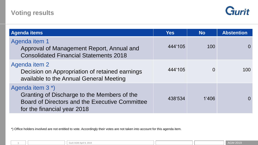

| <b>Agenda items</b>                                                                                                                                          | <b>Yes</b> | <b>No</b> | <b>Abstention</b> |
|--------------------------------------------------------------------------------------------------------------------------------------------------------------|------------|-----------|-------------------|
| Agenda item 1<br>Approval of Management Report, Annual and<br><b>Consolidated Financial Statements 2018</b>                                                  | 444'105    | 100       | 0                 |
| Agenda item 2<br>Decision on Appropriation of retained earnings<br>available to the Annual General Meeting                                                   | 444'105    | $\Omega$  | 100               |
| Agenda item 3 <sup>*</sup> )<br>Granting of Discharge to the Members of the<br>Board of Directors and the Executive Committee<br>for the financial year 2018 | 438'534    | 1'406     | $\Omega$          |

\*) Office holders involved are not entitled to vote. Accordingly their votes are not taken into account for this agenda item.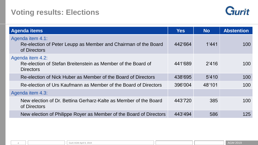#### **Voting results: Elections**



| <b>Agenda items</b>                                                                                  | <b>Yes</b> | <b>No</b> | <b>Abstention</b> |
|------------------------------------------------------------------------------------------------------|------------|-----------|-------------------|
| Agenda item 4.1:<br>Re-election of Peter Leupp as Member and Chairman of the Board<br>of Directors   | 442'664    | 1'441     | 100               |
| Agenda item 4.2:<br>Re-election of Stefan Breitenstein as Member of the Board of<br><b>Directors</b> | 441'689    | 2'416     | 100               |
| Re-election of Nick Huber as Member of the Board of Directors                                        | 438'695    | 5'410     | 100               |
| Re-election of Urs Kaufmann as Member of the Board of Directors                                      | 396'004    | 48'101    | 100               |
| Agenda item 4.3:                                                                                     |            |           |                   |
| New election of Dr. Bettina Gerharz-Kalte as Member of the Board<br>of Directors                     | 443'720    | 385       | 100               |
| New election of Philippe Royer as Member of the Board of Directors                                   | 443'494    | 586       | 125               |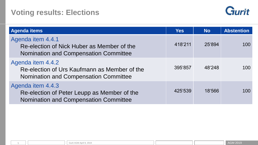### **Voting results: Elections**



| <b>Agenda items</b>                                                                                               | <b>Yes</b> | <b>No</b> | <b>Abstention</b> |
|-------------------------------------------------------------------------------------------------------------------|------------|-----------|-------------------|
| Agenda item 4.4.1<br>Re-election of Nick Huber as Member of the<br><b>Nomination and Compensation Committee</b>   | 418'211    | 25'894    | 100               |
| Agenda item 4.4.2<br>Re-election of Urs Kaufmann as Member of the<br><b>Nomination and Compensation Committee</b> | 395'857    | 48'248    | 100               |
| Agenda item 4.4.3<br>Re-election of Peter Leupp as Member of the<br><b>Nomination and Compensation Committee</b>  | 425'539    | 18'566    | 100               |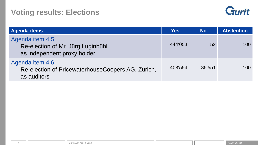#### **Voting results: Elections**



| <b>Agenda items</b>                                                                  | <b>Yes</b> | <b>No</b> | <b>Abstention</b> |
|--------------------------------------------------------------------------------------|------------|-----------|-------------------|
| Agenda item 4.5:<br>Re-election of Mr. Jürg Luginbühl<br>as independent proxy holder | 444'053    | 52        | 100               |
| Agenda item 4.6:<br>Re-election of PricewaterhouseCoopers AG, Zürich,<br>as auditors | 408'554    | 35'551    | 100               |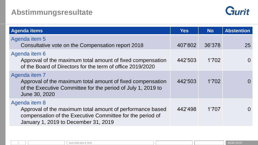

| <b>Agenda items</b>                                                                                                                                                             | <b>Yes</b> | <b>No</b> | <b>Abstention</b> |
|---------------------------------------------------------------------------------------------------------------------------------------------------------------------------------|------------|-----------|-------------------|
| Agenda item 5<br>Consultative vote on the Compensation report 2018                                                                                                              | 407'802    | 36'378    | 25                |
| Agenda item 6<br>Approval of the maximum total amount of fixed compensation<br>of the Board of Directors for the term of office 2019/2020                                       | 442'503    | 1'702     | $\Omega$          |
| Agenda item 7<br>Approval of the maximum total amount of fixed compensation<br>of the Executive Committee for the period of July 1, 2019 to<br>June 30, 2020                    | 442'503    | 1'702     | $\left( \right)$  |
| Agenda item 8<br>Approval of the maximum total amount of performance based<br>compensation of the Executive Committee for the period of<br>January 1, 2019 to December 31, 2019 | 442.498    | 1'707     | $\Omega$          |